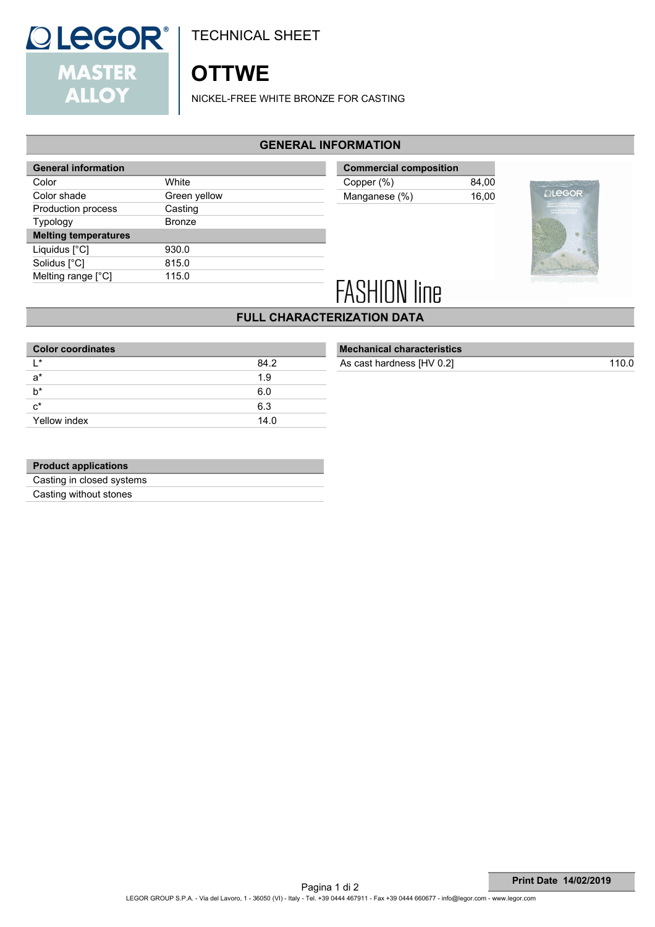

TECHNICAL SHEET

# **OTTWE**

NICKEL-FREE WHITE BRONZE FOR CASTING

#### **GENERAL INFORMATION**

| <b>General information</b>  |               |
|-----------------------------|---------------|
| Color                       | White         |
| Color shade                 | Green yellow  |
| Production process          | Casting       |
| Typology                    | <b>Bronze</b> |
| <b>Melting temperatures</b> |               |
| Liquidus [°C]               | 930.0         |
| Solidus [°C]                | 815.0         |
| Melting range [°C]          | 115.0         |

| <b>Commercial composition</b> |       |
|-------------------------------|-------|
| Copper (%)                    | 84.00 |
| Manganese (%)                 | 16.00 |
|                               |       |



# **FASHION line**

## **FULL CHARACTERIZATION DATA**

| 84.2 |
|------|
| 1.9  |
| 6.0  |
| 6.3  |
| 14.0 |
|      |

| <b>Mechanical characteristics</b> |       |
|-----------------------------------|-------|
| As cast hardness [HV 0.2]         | 110.0 |
|                                   |       |

#### **Product applications**

Casting in closed systems

Casting without stones